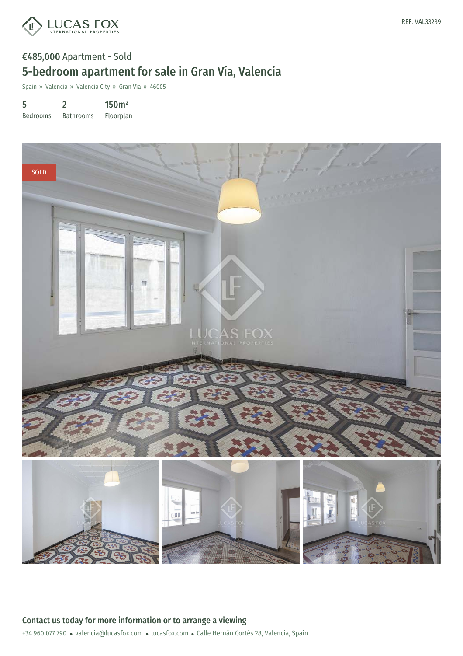

## €485,000 Apartment - Sold 5-bedroom apartment for sale in Gran Vía, Valencia

Spain » Valencia » Valencia City » Gran Vía » 46005

5 2 150m²

Bedrooms Bathrooms Floorplan

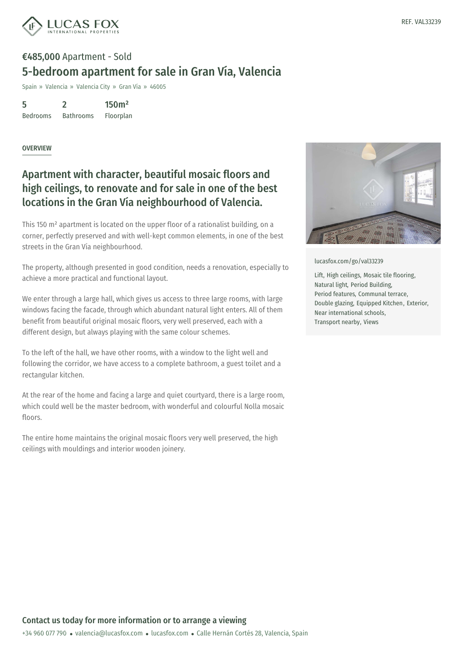

## €485,000 Apartment - Sold 5-bedroom apartment for sale in Gran Vía, Valencia

Spain » Valencia » Valencia City » Gran Vía » 46005

5 Bedrooms 2 Bathrooms 150m² Floorplan

OVERVIEW

## Apartment with character, beautiful mosaic floors and high ceilings, to renovate and for sale in one of the best locations in the Gran Vía neighbourhood of Valencia.

This 150 m² apartment is located on the upper floor of a rationalist building, on a corner, perfectly preserved and with well-kept common elements, in one of the best streets in the Gran Vía neighbourhood.

The property, although presented in good condition, needs a renovation, especially to achieve a more practical and functional layout.

We enter through a large hall, which gives us access to three large rooms, with large windows facing the facade, through which abundant natural light enters. All of them benefit from beautiful original mosaic floors, very well preserved, each with a different design, but always playing with the same colour schemes.

To the left of the hall, we have other rooms, with a window to the light well and following the corridor, we have access to a complete bathroom, a guest toilet and a rectangular kitchen.

At the rear of the home and facing a large and quiet courtyard, there is a large room, which could well be the master bedroom, with wonderful and colourful Nolla mosaic floors.

The entire home maintains the original mosaic floors very well preserved, the high ceilings with mouldings and interior wooden joinery.



[lucasfox.com/go/val33239](https://www.lucasfox.com/go/val33239)

Lift, High ceilings, Mosaic tile flooring, Natural light, Period Building, Period features, Communal terrace, Double glazing, Equipped Kitchen, Exterior, Near international schools, Transport nearby, Views